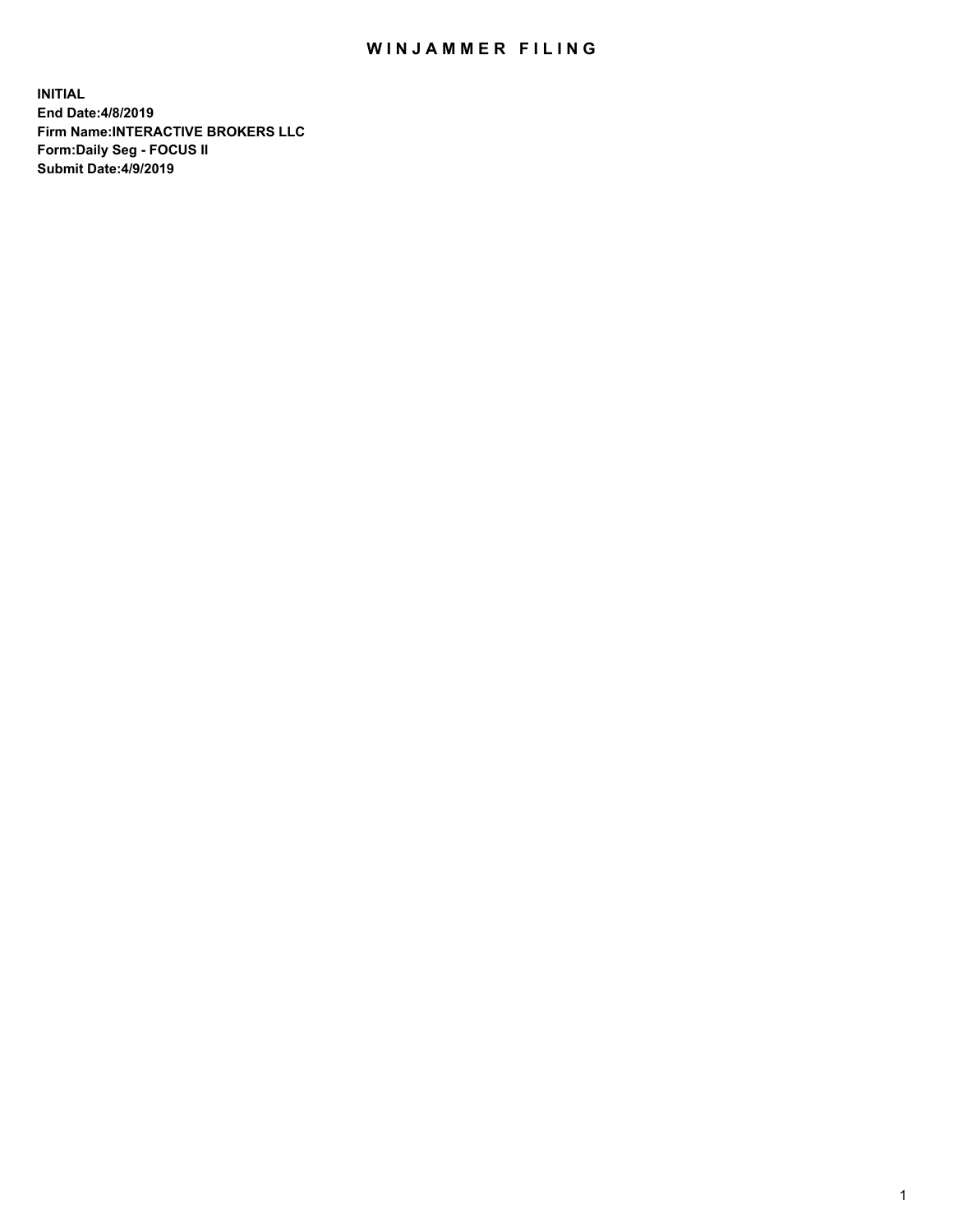## WIN JAMMER FILING

**INITIAL End Date:4/8/2019 Firm Name:INTERACTIVE BROKERS LLC Form:Daily Seg - FOCUS II Submit Date:4/9/2019**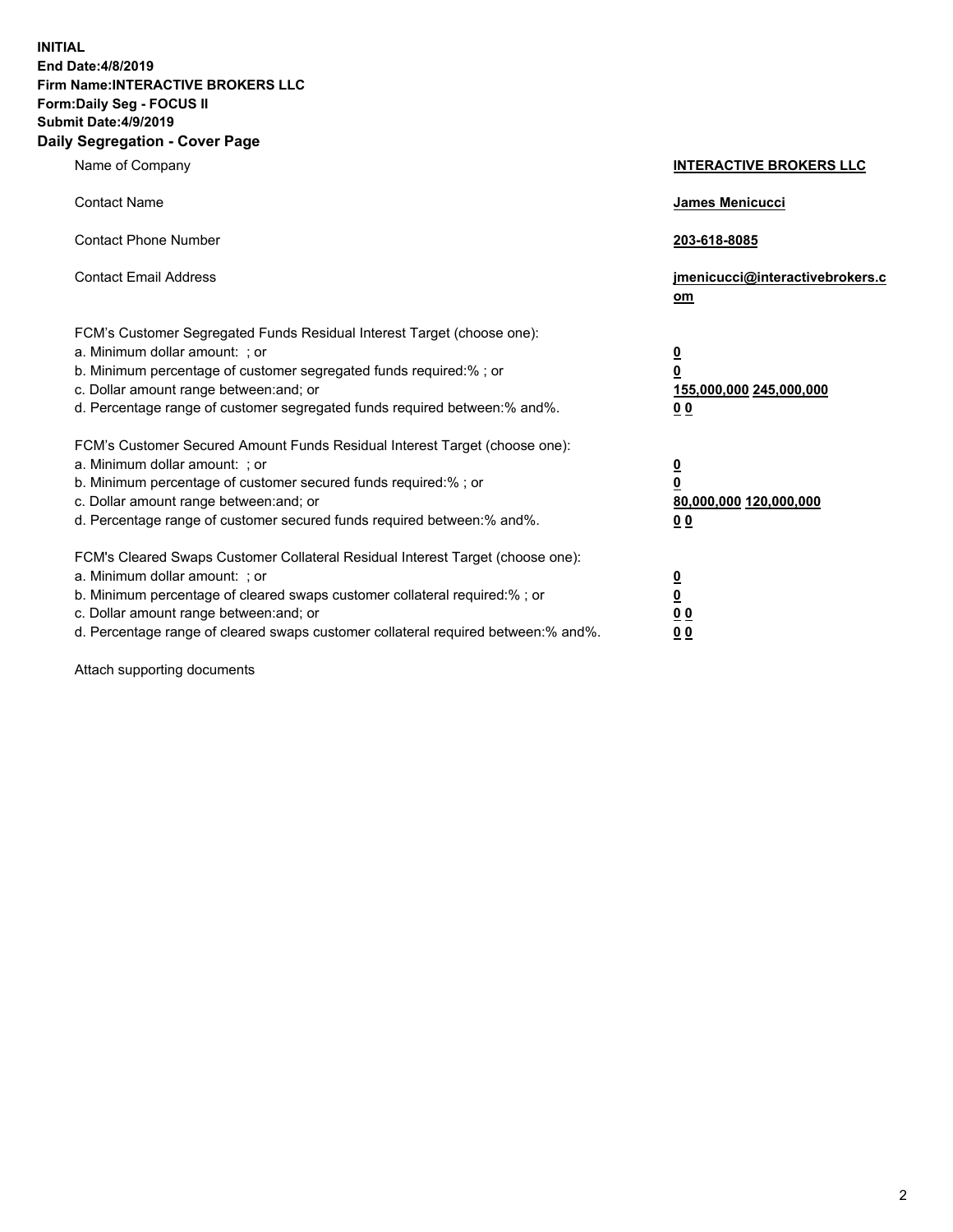**INITIAL End Date:4/8/2019 Firm Name:INTERACTIVE BROKERS LLC Form:Daily Seg - FOCUS II Submit Date:4/9/2019 Daily Segregation - Cover Page**

| Name of Company                                                                                                                                                                                                                                                                                                                | <b>INTERACTIVE BROKERS LLC</b>                                                      |
|--------------------------------------------------------------------------------------------------------------------------------------------------------------------------------------------------------------------------------------------------------------------------------------------------------------------------------|-------------------------------------------------------------------------------------|
| <b>Contact Name</b>                                                                                                                                                                                                                                                                                                            | James Menicucci                                                                     |
| <b>Contact Phone Number</b>                                                                                                                                                                                                                                                                                                    | 203-618-8085                                                                        |
| <b>Contact Email Address</b>                                                                                                                                                                                                                                                                                                   | jmenicucci@interactivebrokers.c<br>om                                               |
| FCM's Customer Segregated Funds Residual Interest Target (choose one):<br>a. Minimum dollar amount: ; or<br>b. Minimum percentage of customer segregated funds required:% ; or<br>c. Dollar amount range between: and; or<br>d. Percentage range of customer segregated funds required between:% and%.                         | $\overline{\mathbf{0}}$<br>$\overline{\mathbf{0}}$<br>155,000,000 245,000,000<br>00 |
| FCM's Customer Secured Amount Funds Residual Interest Target (choose one):<br>a. Minimum dollar amount: ; or<br>b. Minimum percentage of customer secured funds required:% ; or<br>c. Dollar amount range between: and; or<br>d. Percentage range of customer secured funds required between:% and%.                           | $\overline{\mathbf{0}}$<br>$\pmb{0}$<br>80,000,000 120,000,000<br>00                |
| FCM's Cleared Swaps Customer Collateral Residual Interest Target (choose one):<br>a. Minimum dollar amount: ; or<br>b. Minimum percentage of cleared swaps customer collateral required:% ; or<br>c. Dollar amount range between: and; or<br>d. Percentage range of cleared swaps customer collateral required between:% and%. | $\overline{\mathbf{0}}$<br>$\underline{\mathbf{0}}$<br>0 <sub>0</sub><br>00         |

Attach supporting documents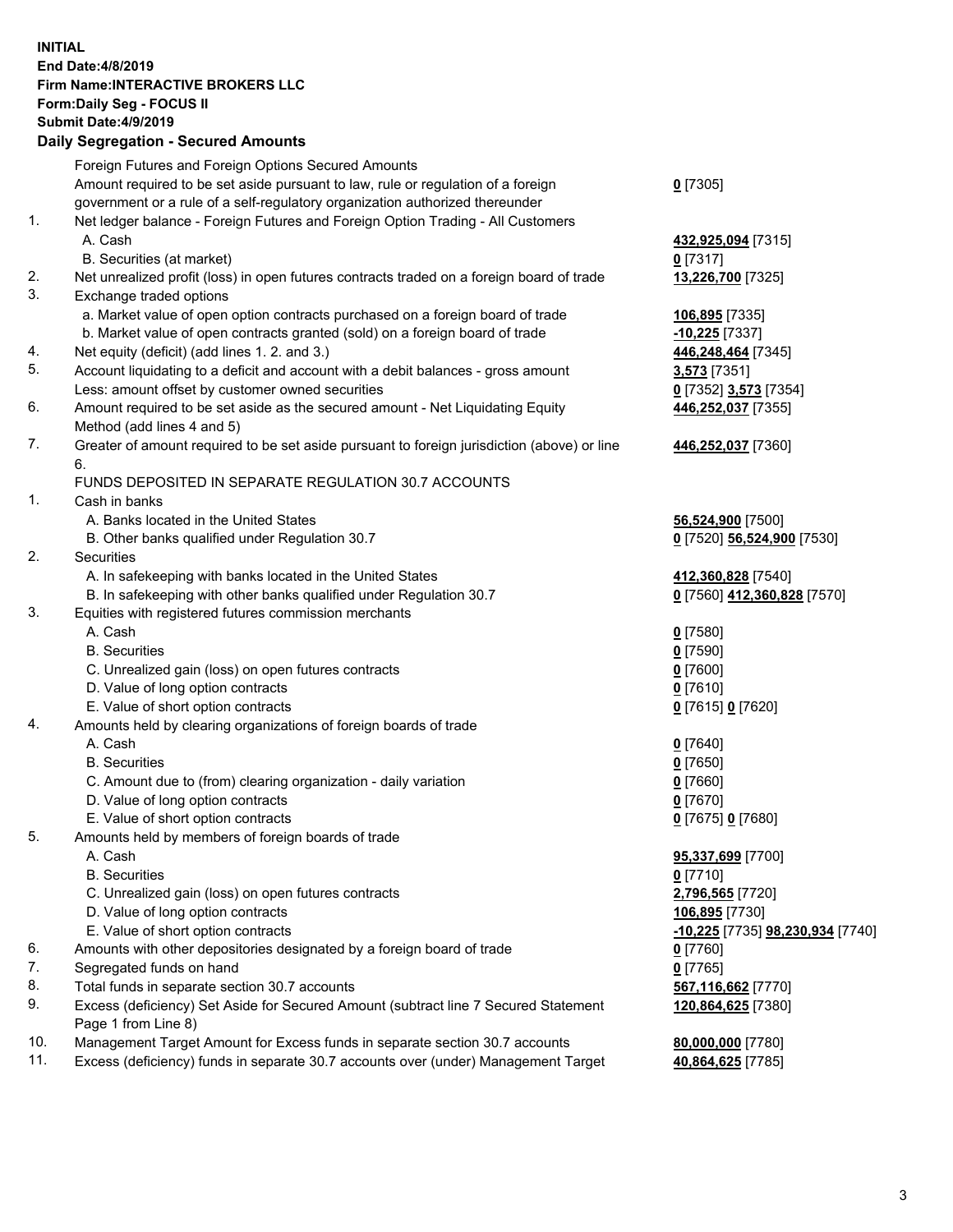## **INITIAL End Date:4/8/2019 Firm Name:INTERACTIVE BROKERS LLC Form:Daily Seg - FOCUS II Submit Date:4/9/2019 Daily Segregation - Secured Amounts**

| Daily Ocglegation - Occured Anioants                                               |                                                                                                                                                                                                                                                                                                                                                                                                                                                                                                                                                                                                                                                                                                                                                                                                                                                                                                                                                                                                                                                                                                                                                                                                                                                                                                                                                                                                                                                                                                                                                                                                                                                                                                                                                                                                                |
|------------------------------------------------------------------------------------|----------------------------------------------------------------------------------------------------------------------------------------------------------------------------------------------------------------------------------------------------------------------------------------------------------------------------------------------------------------------------------------------------------------------------------------------------------------------------------------------------------------------------------------------------------------------------------------------------------------------------------------------------------------------------------------------------------------------------------------------------------------------------------------------------------------------------------------------------------------------------------------------------------------------------------------------------------------------------------------------------------------------------------------------------------------------------------------------------------------------------------------------------------------------------------------------------------------------------------------------------------------------------------------------------------------------------------------------------------------------------------------------------------------------------------------------------------------------------------------------------------------------------------------------------------------------------------------------------------------------------------------------------------------------------------------------------------------------------------------------------------------------------------------------------------------|
| Foreign Futures and Foreign Options Secured Amounts                                |                                                                                                                                                                                                                                                                                                                                                                                                                                                                                                                                                                                                                                                                                                                                                                                                                                                                                                                                                                                                                                                                                                                                                                                                                                                                                                                                                                                                                                                                                                                                                                                                                                                                                                                                                                                                                |
| Amount required to be set aside pursuant to law, rule or regulation of a foreign   | $0$ [7305]                                                                                                                                                                                                                                                                                                                                                                                                                                                                                                                                                                                                                                                                                                                                                                                                                                                                                                                                                                                                                                                                                                                                                                                                                                                                                                                                                                                                                                                                                                                                                                                                                                                                                                                                                                                                     |
|                                                                                    |                                                                                                                                                                                                                                                                                                                                                                                                                                                                                                                                                                                                                                                                                                                                                                                                                                                                                                                                                                                                                                                                                                                                                                                                                                                                                                                                                                                                                                                                                                                                                                                                                                                                                                                                                                                                                |
|                                                                                    |                                                                                                                                                                                                                                                                                                                                                                                                                                                                                                                                                                                                                                                                                                                                                                                                                                                                                                                                                                                                                                                                                                                                                                                                                                                                                                                                                                                                                                                                                                                                                                                                                                                                                                                                                                                                                |
|                                                                                    | 432,925,094 [7315]                                                                                                                                                                                                                                                                                                                                                                                                                                                                                                                                                                                                                                                                                                                                                                                                                                                                                                                                                                                                                                                                                                                                                                                                                                                                                                                                                                                                                                                                                                                                                                                                                                                                                                                                                                                             |
|                                                                                    | $0$ [7317]                                                                                                                                                                                                                                                                                                                                                                                                                                                                                                                                                                                                                                                                                                                                                                                                                                                                                                                                                                                                                                                                                                                                                                                                                                                                                                                                                                                                                                                                                                                                                                                                                                                                                                                                                                                                     |
|                                                                                    | 13,226,700 [7325]                                                                                                                                                                                                                                                                                                                                                                                                                                                                                                                                                                                                                                                                                                                                                                                                                                                                                                                                                                                                                                                                                                                                                                                                                                                                                                                                                                                                                                                                                                                                                                                                                                                                                                                                                                                              |
|                                                                                    |                                                                                                                                                                                                                                                                                                                                                                                                                                                                                                                                                                                                                                                                                                                                                                                                                                                                                                                                                                                                                                                                                                                                                                                                                                                                                                                                                                                                                                                                                                                                                                                                                                                                                                                                                                                                                |
|                                                                                    | 106,895 [7335]                                                                                                                                                                                                                                                                                                                                                                                                                                                                                                                                                                                                                                                                                                                                                                                                                                                                                                                                                                                                                                                                                                                                                                                                                                                                                                                                                                                                                                                                                                                                                                                                                                                                                                                                                                                                 |
|                                                                                    | $-10,225$ [7337]                                                                                                                                                                                                                                                                                                                                                                                                                                                                                                                                                                                                                                                                                                                                                                                                                                                                                                                                                                                                                                                                                                                                                                                                                                                                                                                                                                                                                                                                                                                                                                                                                                                                                                                                                                                               |
|                                                                                    | 446,248,464 [7345]                                                                                                                                                                                                                                                                                                                                                                                                                                                                                                                                                                                                                                                                                                                                                                                                                                                                                                                                                                                                                                                                                                                                                                                                                                                                                                                                                                                                                                                                                                                                                                                                                                                                                                                                                                                             |
|                                                                                    | 3,573 [7351]                                                                                                                                                                                                                                                                                                                                                                                                                                                                                                                                                                                                                                                                                                                                                                                                                                                                                                                                                                                                                                                                                                                                                                                                                                                                                                                                                                                                                                                                                                                                                                                                                                                                                                                                                                                                   |
|                                                                                    | 0 [7352] 3,573 [7354]                                                                                                                                                                                                                                                                                                                                                                                                                                                                                                                                                                                                                                                                                                                                                                                                                                                                                                                                                                                                                                                                                                                                                                                                                                                                                                                                                                                                                                                                                                                                                                                                                                                                                                                                                                                          |
|                                                                                    | 446,252,037 [7355]                                                                                                                                                                                                                                                                                                                                                                                                                                                                                                                                                                                                                                                                                                                                                                                                                                                                                                                                                                                                                                                                                                                                                                                                                                                                                                                                                                                                                                                                                                                                                                                                                                                                                                                                                                                             |
|                                                                                    |                                                                                                                                                                                                                                                                                                                                                                                                                                                                                                                                                                                                                                                                                                                                                                                                                                                                                                                                                                                                                                                                                                                                                                                                                                                                                                                                                                                                                                                                                                                                                                                                                                                                                                                                                                                                                |
|                                                                                    | 446,252,037 [7360]                                                                                                                                                                                                                                                                                                                                                                                                                                                                                                                                                                                                                                                                                                                                                                                                                                                                                                                                                                                                                                                                                                                                                                                                                                                                                                                                                                                                                                                                                                                                                                                                                                                                                                                                                                                             |
|                                                                                    |                                                                                                                                                                                                                                                                                                                                                                                                                                                                                                                                                                                                                                                                                                                                                                                                                                                                                                                                                                                                                                                                                                                                                                                                                                                                                                                                                                                                                                                                                                                                                                                                                                                                                                                                                                                                                |
|                                                                                    |                                                                                                                                                                                                                                                                                                                                                                                                                                                                                                                                                                                                                                                                                                                                                                                                                                                                                                                                                                                                                                                                                                                                                                                                                                                                                                                                                                                                                                                                                                                                                                                                                                                                                                                                                                                                                |
|                                                                                    | 56,524,900 [7500]                                                                                                                                                                                                                                                                                                                                                                                                                                                                                                                                                                                                                                                                                                                                                                                                                                                                                                                                                                                                                                                                                                                                                                                                                                                                                                                                                                                                                                                                                                                                                                                                                                                                                                                                                                                              |
|                                                                                    | 0 [7520] 56,524,900 [7530]                                                                                                                                                                                                                                                                                                                                                                                                                                                                                                                                                                                                                                                                                                                                                                                                                                                                                                                                                                                                                                                                                                                                                                                                                                                                                                                                                                                                                                                                                                                                                                                                                                                                                                                                                                                     |
|                                                                                    |                                                                                                                                                                                                                                                                                                                                                                                                                                                                                                                                                                                                                                                                                                                                                                                                                                                                                                                                                                                                                                                                                                                                                                                                                                                                                                                                                                                                                                                                                                                                                                                                                                                                                                                                                                                                                |
|                                                                                    | 412,360,828 [7540]                                                                                                                                                                                                                                                                                                                                                                                                                                                                                                                                                                                                                                                                                                                                                                                                                                                                                                                                                                                                                                                                                                                                                                                                                                                                                                                                                                                                                                                                                                                                                                                                                                                                                                                                                                                             |
|                                                                                    | 0 [7560] 412,360,828 [7570]                                                                                                                                                                                                                                                                                                                                                                                                                                                                                                                                                                                                                                                                                                                                                                                                                                                                                                                                                                                                                                                                                                                                                                                                                                                                                                                                                                                                                                                                                                                                                                                                                                                                                                                                                                                    |
|                                                                                    |                                                                                                                                                                                                                                                                                                                                                                                                                                                                                                                                                                                                                                                                                                                                                                                                                                                                                                                                                                                                                                                                                                                                                                                                                                                                                                                                                                                                                                                                                                                                                                                                                                                                                                                                                                                                                |
|                                                                                    | $0$ [7580]                                                                                                                                                                                                                                                                                                                                                                                                                                                                                                                                                                                                                                                                                                                                                                                                                                                                                                                                                                                                                                                                                                                                                                                                                                                                                                                                                                                                                                                                                                                                                                                                                                                                                                                                                                                                     |
|                                                                                    | $0$ [7590]                                                                                                                                                                                                                                                                                                                                                                                                                                                                                                                                                                                                                                                                                                                                                                                                                                                                                                                                                                                                                                                                                                                                                                                                                                                                                                                                                                                                                                                                                                                                                                                                                                                                                                                                                                                                     |
|                                                                                    | $0$ [7600]                                                                                                                                                                                                                                                                                                                                                                                                                                                                                                                                                                                                                                                                                                                                                                                                                                                                                                                                                                                                                                                                                                                                                                                                                                                                                                                                                                                                                                                                                                                                                                                                                                                                                                                                                                                                     |
|                                                                                    | $0$ [7610]                                                                                                                                                                                                                                                                                                                                                                                                                                                                                                                                                                                                                                                                                                                                                                                                                                                                                                                                                                                                                                                                                                                                                                                                                                                                                                                                                                                                                                                                                                                                                                                                                                                                                                                                                                                                     |
|                                                                                    | 0 [7615] 0 [7620]                                                                                                                                                                                                                                                                                                                                                                                                                                                                                                                                                                                                                                                                                                                                                                                                                                                                                                                                                                                                                                                                                                                                                                                                                                                                                                                                                                                                                                                                                                                                                                                                                                                                                                                                                                                              |
| Amounts held by clearing organizations of foreign boards of trade                  |                                                                                                                                                                                                                                                                                                                                                                                                                                                                                                                                                                                                                                                                                                                                                                                                                                                                                                                                                                                                                                                                                                                                                                                                                                                                                                                                                                                                                                                                                                                                                                                                                                                                                                                                                                                                                |
| A. Cash                                                                            | $0$ [7640]                                                                                                                                                                                                                                                                                                                                                                                                                                                                                                                                                                                                                                                                                                                                                                                                                                                                                                                                                                                                                                                                                                                                                                                                                                                                                                                                                                                                                                                                                                                                                                                                                                                                                                                                                                                                     |
| <b>B.</b> Securities                                                               | $0$ [7650]                                                                                                                                                                                                                                                                                                                                                                                                                                                                                                                                                                                                                                                                                                                                                                                                                                                                                                                                                                                                                                                                                                                                                                                                                                                                                                                                                                                                                                                                                                                                                                                                                                                                                                                                                                                                     |
| C. Amount due to (from) clearing organization - daily variation                    | $0$ [7660]                                                                                                                                                                                                                                                                                                                                                                                                                                                                                                                                                                                                                                                                                                                                                                                                                                                                                                                                                                                                                                                                                                                                                                                                                                                                                                                                                                                                                                                                                                                                                                                                                                                                                                                                                                                                     |
| D. Value of long option contracts                                                  | $0$ [7670]                                                                                                                                                                                                                                                                                                                                                                                                                                                                                                                                                                                                                                                                                                                                                                                                                                                                                                                                                                                                                                                                                                                                                                                                                                                                                                                                                                                                                                                                                                                                                                                                                                                                                                                                                                                                     |
| E. Value of short option contracts                                                 | 0 [7675] 0 [7680]                                                                                                                                                                                                                                                                                                                                                                                                                                                                                                                                                                                                                                                                                                                                                                                                                                                                                                                                                                                                                                                                                                                                                                                                                                                                                                                                                                                                                                                                                                                                                                                                                                                                                                                                                                                              |
| Amounts held by members of foreign boards of trade                                 |                                                                                                                                                                                                                                                                                                                                                                                                                                                                                                                                                                                                                                                                                                                                                                                                                                                                                                                                                                                                                                                                                                                                                                                                                                                                                                                                                                                                                                                                                                                                                                                                                                                                                                                                                                                                                |
| A. Cash                                                                            | 95,337,699 [7700]                                                                                                                                                                                                                                                                                                                                                                                                                                                                                                                                                                                                                                                                                                                                                                                                                                                                                                                                                                                                                                                                                                                                                                                                                                                                                                                                                                                                                                                                                                                                                                                                                                                                                                                                                                                              |
| <b>B.</b> Securities                                                               | $0$ [7710]                                                                                                                                                                                                                                                                                                                                                                                                                                                                                                                                                                                                                                                                                                                                                                                                                                                                                                                                                                                                                                                                                                                                                                                                                                                                                                                                                                                                                                                                                                                                                                                                                                                                                                                                                                                                     |
|                                                                                    | 2,796,565 [7720]                                                                                                                                                                                                                                                                                                                                                                                                                                                                                                                                                                                                                                                                                                                                                                                                                                                                                                                                                                                                                                                                                                                                                                                                                                                                                                                                                                                                                                                                                                                                                                                                                                                                                                                                                                                               |
| D. Value of long option contracts                                                  | 106,895 [7730]                                                                                                                                                                                                                                                                                                                                                                                                                                                                                                                                                                                                                                                                                                                                                                                                                                                                                                                                                                                                                                                                                                                                                                                                                                                                                                                                                                                                                                                                                                                                                                                                                                                                                                                                                                                                 |
|                                                                                    | <mark>-10,225</mark> [7735] <b>98,230,934</b> [7740]                                                                                                                                                                                                                                                                                                                                                                                                                                                                                                                                                                                                                                                                                                                                                                                                                                                                                                                                                                                                                                                                                                                                                                                                                                                                                                                                                                                                                                                                                                                                                                                                                                                                                                                                                           |
|                                                                                    | 0 [7760]                                                                                                                                                                                                                                                                                                                                                                                                                                                                                                                                                                                                                                                                                                                                                                                                                                                                                                                                                                                                                                                                                                                                                                                                                                                                                                                                                                                                                                                                                                                                                                                                                                                                                                                                                                                                       |
|                                                                                    | $0$ [7765]                                                                                                                                                                                                                                                                                                                                                                                                                                                                                                                                                                                                                                                                                                                                                                                                                                                                                                                                                                                                                                                                                                                                                                                                                                                                                                                                                                                                                                                                                                                                                                                                                                                                                                                                                                                                     |
|                                                                                    | 567,116,662 [7770]                                                                                                                                                                                                                                                                                                                                                                                                                                                                                                                                                                                                                                                                                                                                                                                                                                                                                                                                                                                                                                                                                                                                                                                                                                                                                                                                                                                                                                                                                                                                                                                                                                                                                                                                                                                             |
| Page 1 from Line 8)                                                                | 120,864,625 [7380]                                                                                                                                                                                                                                                                                                                                                                                                                                                                                                                                                                                                                                                                                                                                                                                                                                                                                                                                                                                                                                                                                                                                                                                                                                                                                                                                                                                                                                                                                                                                                                                                                                                                                                                                                                                             |
| Management Target Amount for Excess funds in separate section 30.7 accounts        | 80,000,000 [7780]                                                                                                                                                                                                                                                                                                                                                                                                                                                                                                                                                                                                                                                                                                                                                                                                                                                                                                                                                                                                                                                                                                                                                                                                                                                                                                                                                                                                                                                                                                                                                                                                                                                                                                                                                                                              |
| Excess (deficiency) funds in separate 30.7 accounts over (under) Management Target | 40,864,625 [7785]                                                                                                                                                                                                                                                                                                                                                                                                                                                                                                                                                                                                                                                                                                                                                                                                                                                                                                                                                                                                                                                                                                                                                                                                                                                                                                                                                                                                                                                                                                                                                                                                                                                                                                                                                                                              |
|                                                                                    | government or a rule of a self-regulatory organization authorized thereunder<br>Net ledger balance - Foreign Futures and Foreign Option Trading - All Customers<br>A. Cash<br>B. Securities (at market)<br>Net unrealized profit (loss) in open futures contracts traded on a foreign board of trade<br>Exchange traded options<br>a. Market value of open option contracts purchased on a foreign board of trade<br>b. Market value of open contracts granted (sold) on a foreign board of trade<br>Net equity (deficit) (add lines 1. 2. and 3.)<br>Account liquidating to a deficit and account with a debit balances - gross amount<br>Less: amount offset by customer owned securities<br>Amount required to be set aside as the secured amount - Net Liquidating Equity<br>Method (add lines 4 and 5)<br>Greater of amount required to be set aside pursuant to foreign jurisdiction (above) or line<br>6.<br>FUNDS DEPOSITED IN SEPARATE REGULATION 30.7 ACCOUNTS<br>Cash in banks<br>A. Banks located in the United States<br>B. Other banks qualified under Regulation 30.7<br>Securities<br>A. In safekeeping with banks located in the United States<br>B. In safekeeping with other banks qualified under Regulation 30.7<br>Equities with registered futures commission merchants<br>A. Cash<br><b>B.</b> Securities<br>C. Unrealized gain (loss) on open futures contracts<br>D. Value of long option contracts<br>E. Value of short option contracts<br>C. Unrealized gain (loss) on open futures contracts<br>E. Value of short option contracts<br>Amounts with other depositories designated by a foreign board of trade<br>Segregated funds on hand<br>Total funds in separate section 30.7 accounts<br>Excess (deficiency) Set Aside for Secured Amount (subtract line 7 Secured Statement |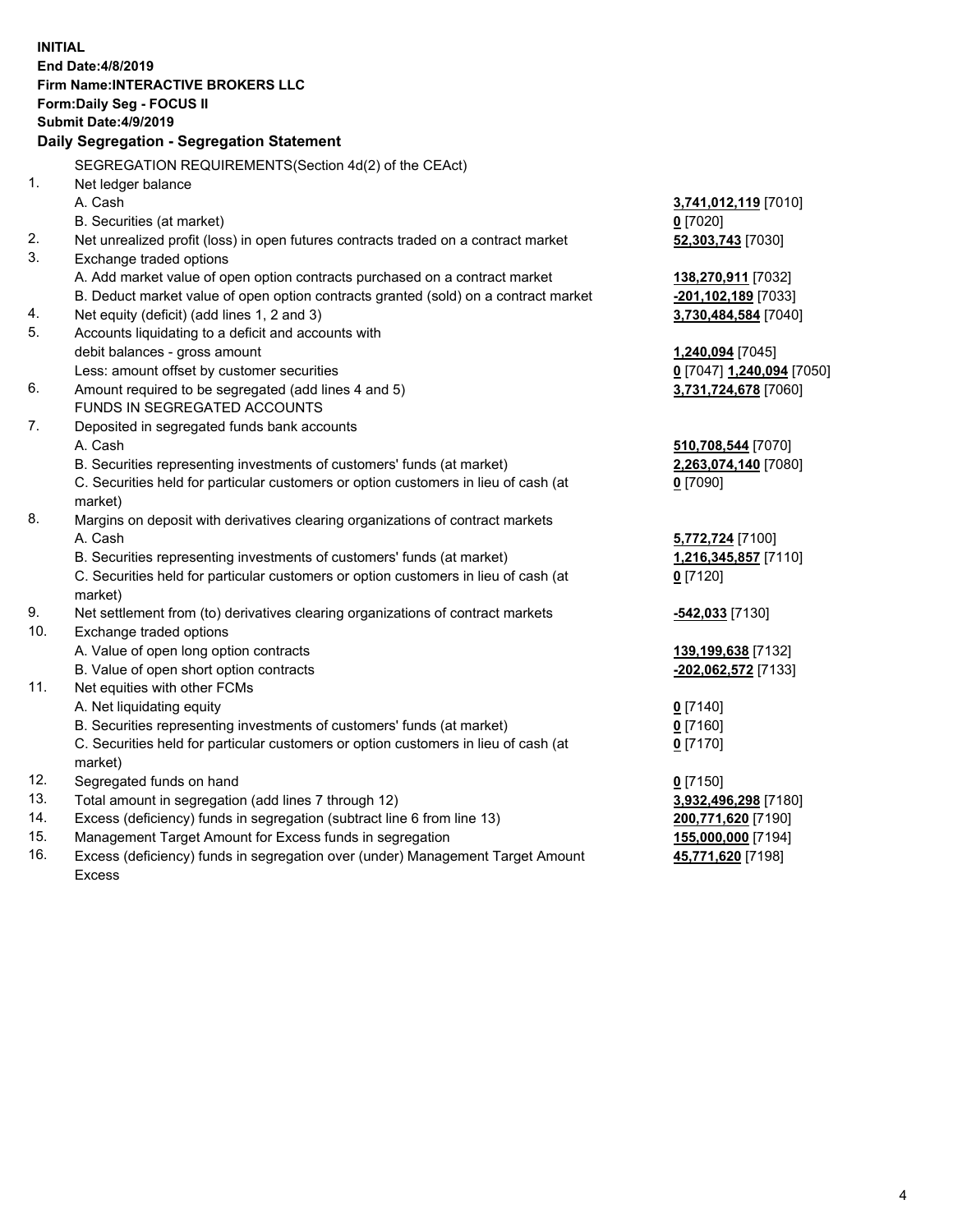| <b>INITIAL</b> | End Date: 4/8/2019                                                                  |                           |
|----------------|-------------------------------------------------------------------------------------|---------------------------|
|                | Firm Name: INTERACTIVE BROKERS LLC                                                  |                           |
|                | Form: Daily Seg - FOCUS II                                                          |                           |
|                | Submit Date: 4/9/2019                                                               |                           |
|                | Daily Segregation - Segregation Statement                                           |                           |
|                | SEGREGATION REQUIREMENTS(Section 4d(2) of the CEAct)                                |                           |
| 1.             | Net ledger balance                                                                  |                           |
|                | A. Cash                                                                             | 3,741,012,119 [7010]      |
|                | B. Securities (at market)                                                           | $0$ [7020]                |
| 2.             | Net unrealized profit (loss) in open futures contracts traded on a contract market  | 52,303,743 [7030]         |
| 3.             | Exchange traded options                                                             |                           |
|                | A. Add market value of open option contracts purchased on a contract market         | 138,270,911 [7032]        |
|                | B. Deduct market value of open option contracts granted (sold) on a contract market | -201,102,189 [7033]       |
| 4.             | Net equity (deficit) (add lines 1, 2 and 3)                                         | 3,730,484,584 [7040]      |
| 5.             | Accounts liquidating to a deficit and accounts with                                 |                           |
|                | debit balances - gross amount                                                       | 1,240,094 [7045]          |
|                | Less: amount offset by customer securities                                          | 0 [7047] 1,240,094 [7050] |
| 6.             | Amount required to be segregated (add lines 4 and 5)                                | 3,731,724,678 [7060]      |
|                | FUNDS IN SEGREGATED ACCOUNTS                                                        |                           |
| 7.             | Deposited in segregated funds bank accounts                                         |                           |
|                | A. Cash                                                                             | 510,708,544 [7070]        |
|                | B. Securities representing investments of customers' funds (at market)              | 2,263,074,140 [7080]      |
|                | C. Securities held for particular customers or option customers in lieu of cash (at | $0$ [7090]                |
|                | market)                                                                             |                           |
| 8.             | Margins on deposit with derivatives clearing organizations of contract markets      |                           |
|                | A. Cash                                                                             | 5,772,724 [7100]          |
|                | B. Securities representing investments of customers' funds (at market)              | 1,216,345,857 [7110]      |
|                | C. Securities held for particular customers or option customers in lieu of cash (at | $0$ [7120]                |
|                | market)                                                                             |                           |
| 9.             | Net settlement from (to) derivatives clearing organizations of contract markets     | -542,033 [7130]           |
| 10.            | Exchange traded options                                                             |                           |
|                | A. Value of open long option contracts                                              | 139,199,638 [7132]        |
|                | B. Value of open short option contracts                                             | -202,062,572 [7133]       |
| 11.            | Net equities with other FCMs                                                        |                           |
|                | A. Net liquidating equity                                                           | $0$ [7140]                |
|                | B. Securities representing investments of customers' funds (at market)              | $0$ [7160]                |
|                | C. Securities held for particular customers or option customers in lieu of cash (at | $0$ [7170]                |
|                | market)                                                                             |                           |
| 12.            | Segregated funds on hand                                                            | $0$ [7150]                |
| 13.            | Total amount in segregation (add lines 7 through 12)                                | 3,932,496,298 [7180]      |
| 14.            | Excess (deficiency) funds in segregation (subtract line 6 from line 13)             | 200,771,620 [7190]        |
| 15.            | Management Target Amount for Excess funds in segregation                            | 155,000,000 [7194]        |
| 16.            | Excess (deficiency) funds in segregation over (under) Management Target Amount      | 45,771,620 [7198]         |

Excess